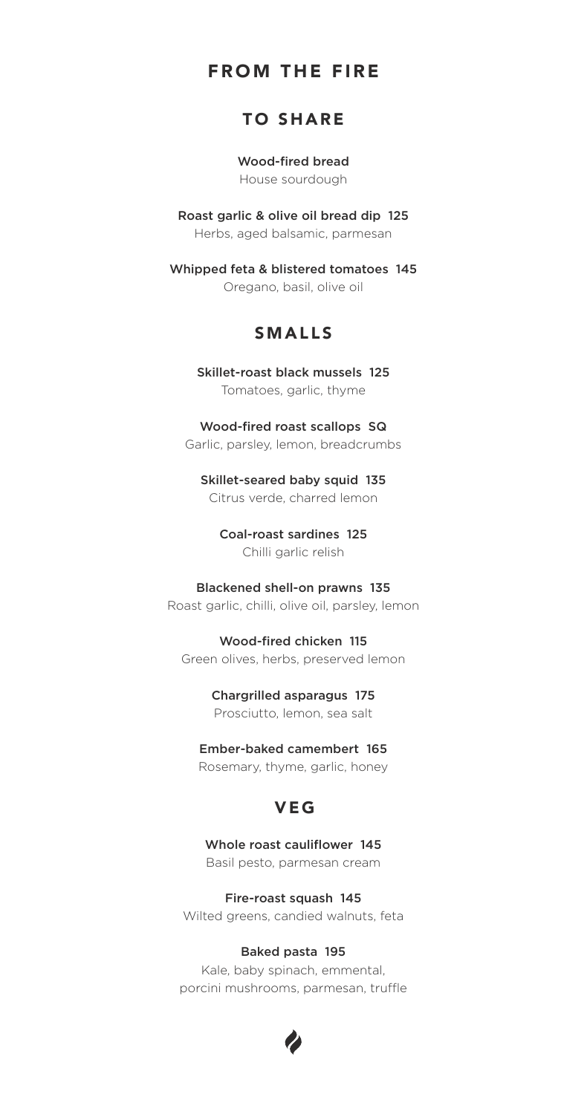# FROM THE FIRE

# TO SHARE

Wood-fired bread House sourdough

Roast garlic & olive oil bread dip 125 Herbs, aged balsamic, parmesan

Whipped feta & blistered tomatoes 145 Oregano, basil, olive oil

# SMALLS

Skillet-roast black mussels 125 Tomatoes, garlic, thyme

Wood-fired roast scallops SQ Garlic, parsley, lemon, breadcrumbs

Skillet-seared baby squid 135 Citrus verde, charred lemon

Coal-roast sardines 125 Chilli garlic relish

#### Blackened shell-on prawns 135

Roast garlic, chilli, olive oil, parsley, lemon

Wood-fired chicken 115 Green olives, herbs, preserved lemon

### Chargrilled asparagus 175

Prosciutto, lemon, sea salt

#### Ember-baked camembert 165

Rosemary, thyme, garlic, honey

# VEG

Whole roast cauliflower 145 Basil pesto, parmesan cream

Fire-roast squash 145 Wilted greens, candied walnuts, feta

#### Baked pasta 195

Kale, baby spinach, emmental, porcini mushrooms, parmesan, truffle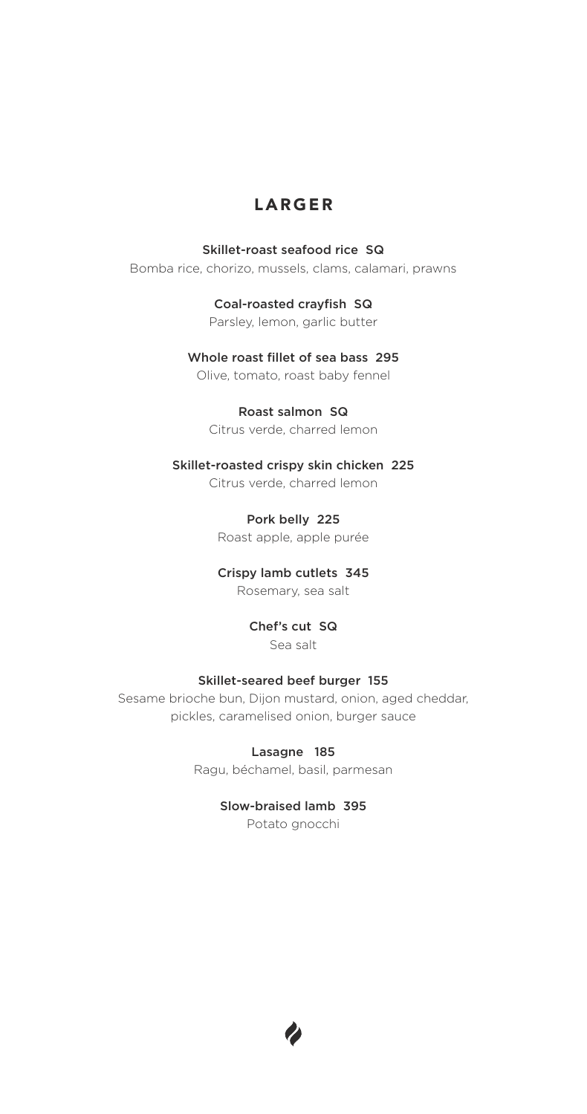# LARGER

### Skillet-roast seafood rice SQ

Bomba rice, chorizo, mussels, clams, calamari, prawns

Coal-roasted crayfish SQ Parsley, lemon, garlic butter

Whole roast fillet of sea bass 295

Olive, tomato, roast baby fennel

### Roast salmon SQ

Citrus verde, charred lemon

Skillet-roasted crispy skin chicken 225 Citrus verde, charred lemon

> Pork belly 225 Roast apple, apple purée

# Crispy lamb cutlets 345

Rosemary, sea salt

### Chef's cut SQ Sea salt

### Skillet-seared beef burger 155

Sesame brioche bun, Dijon mustard, onion, aged cheddar, pickles, caramelised onion, burger sauce

> Lasagne 185 Ragu, béchamel, basil, parmesan

> > Slow-braised lamb 395 Potato gnocchi

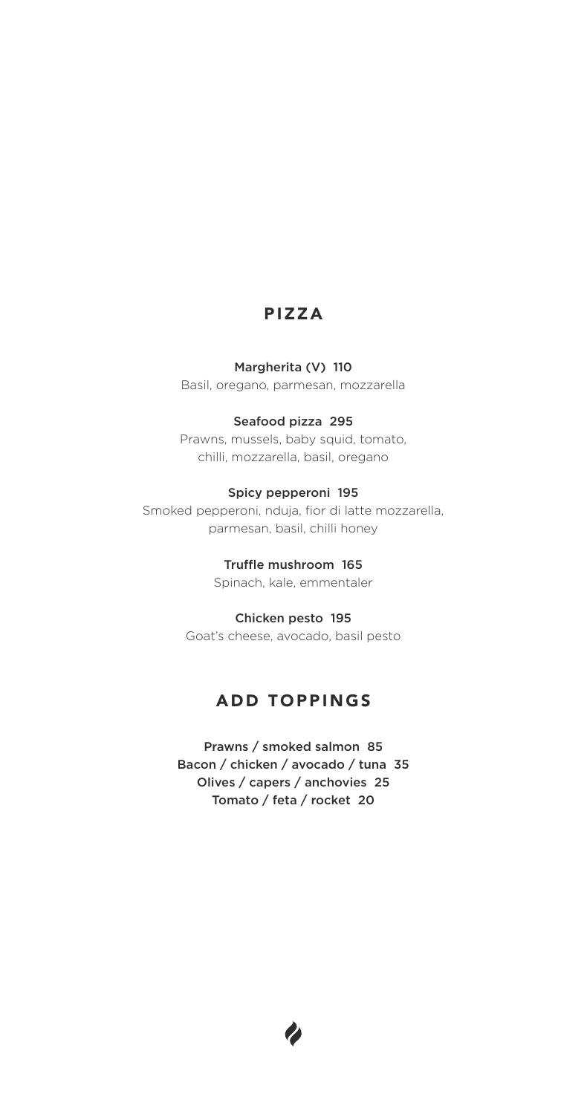# PIZZA

#### Margherita (V) 110

Basil, oregano, parmesan, mozzarella

### Seafood pizza 295

Prawns, mussels, baby squid, tomato, chilli, mozzarella, basil, oregano

## Spicy pepperoni 195

Smoked pepperoni, nduja, fior di latte mozzarella, parmesan, basil, chilli honey

Truffle mushroom 165

Spinach, kale, emmentaler

### Chicken pesto 195

Goat's cheese, avocado, basil pesto

# ADD TOPPINGS

Prawns / smoked salmon 85 Bacon / chicken / avocado / tuna 35 Olives / capers / anchovies 25 Tomato / feta / rocket 20

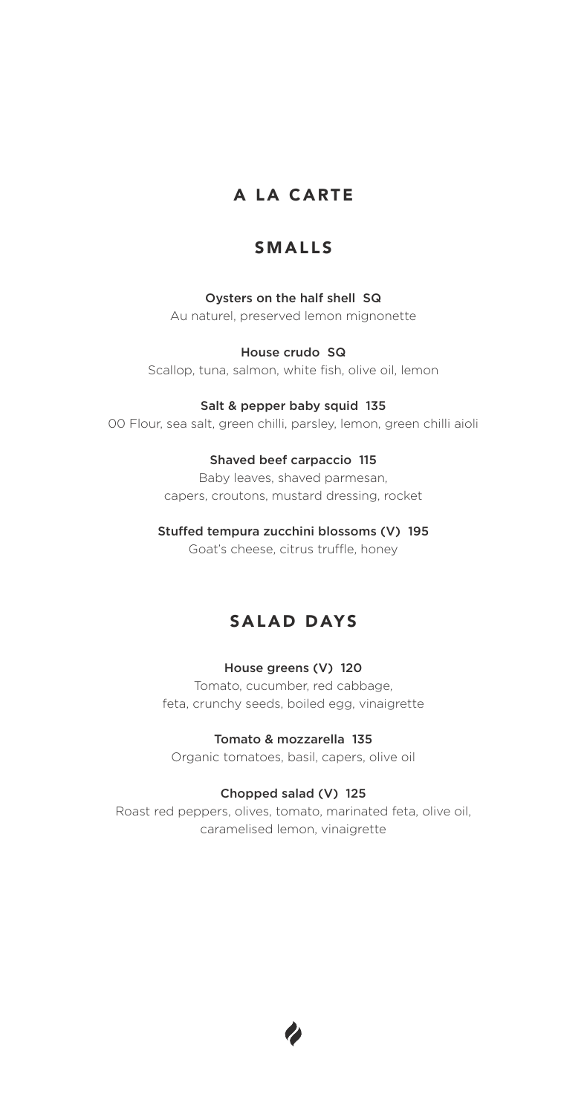# A LA CARTE

# SMALLS

# Oysters on the half shell SQ

Au naturel, preserved lemon mignonette

## House crudo SQ

Scallop, tuna, salmon, white fish, olive oil, lemon

### Salt & pepper baby squid 135

00 Flour, sea salt, green chilli, parsley, lemon, green chilli aioli

### Shaved beef carpaccio 115

Baby leaves, shaved parmesan, capers, croutons, mustard dressing, rocket

## Stuffed tempura zucchini blossoms (V) 195

Goat's cheese, citrus truffle, honey

# SALAD DAYS

## House greens (V) 120

Tomato, cucumber, red cabbage, feta, crunchy seeds, boiled egg, vinaigrette

## Tomato & mozzarella 135

Organic tomatoes, basil, capers, olive oil

## Chopped salad (V) 125

Roast red peppers, olives, tomato, marinated feta, olive oil, caramelised lemon, vinaigrette

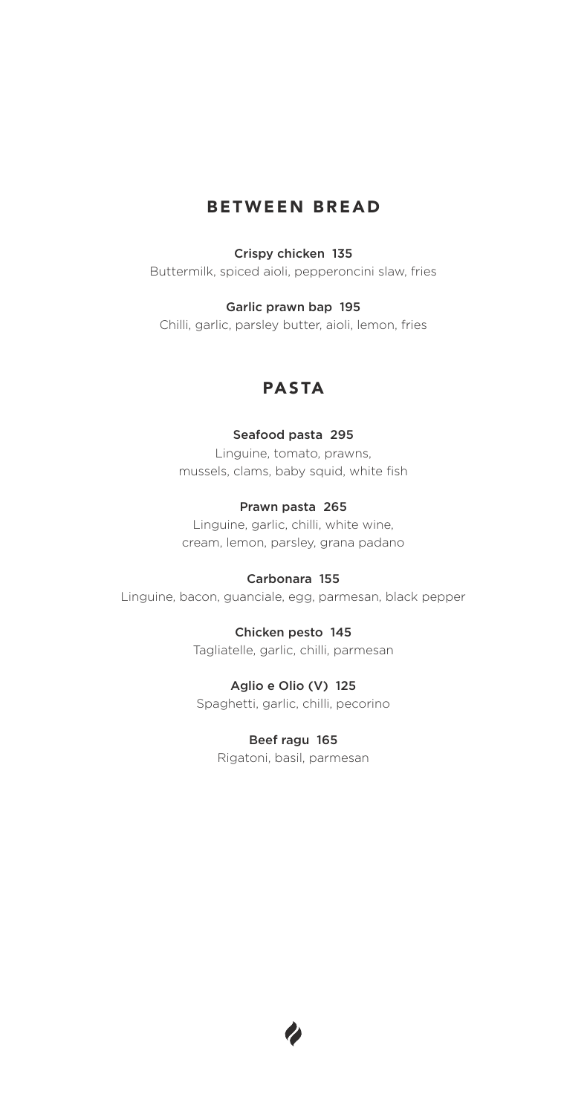# BETWEEN BREAD

### Crispy chicken 135

Buttermilk, spiced aioli, pepperoncini slaw, fries

### Garlic prawn bap 195

Chilli, garlic, parsley butter, aioli, lemon, fries

# PASTA

### Seafood pasta 295

Linguine, tomato, prawns, mussels, clams, baby squid, white fish

### Prawn pasta 265

Linguine, garlic, chilli, white wine, cream, lemon, parsley, grana padano

#### Carbonara 155

Linguine, bacon, guanciale, egg, parmesan, black pepper

Chicken pesto 145 Tagliatelle, garlic, chilli, parmesan

Aglio e Olio (V) 125 Spaghetti, garlic, chilli, pecorino

> Beef ragu 165 Rigatoni, basil, parmesan

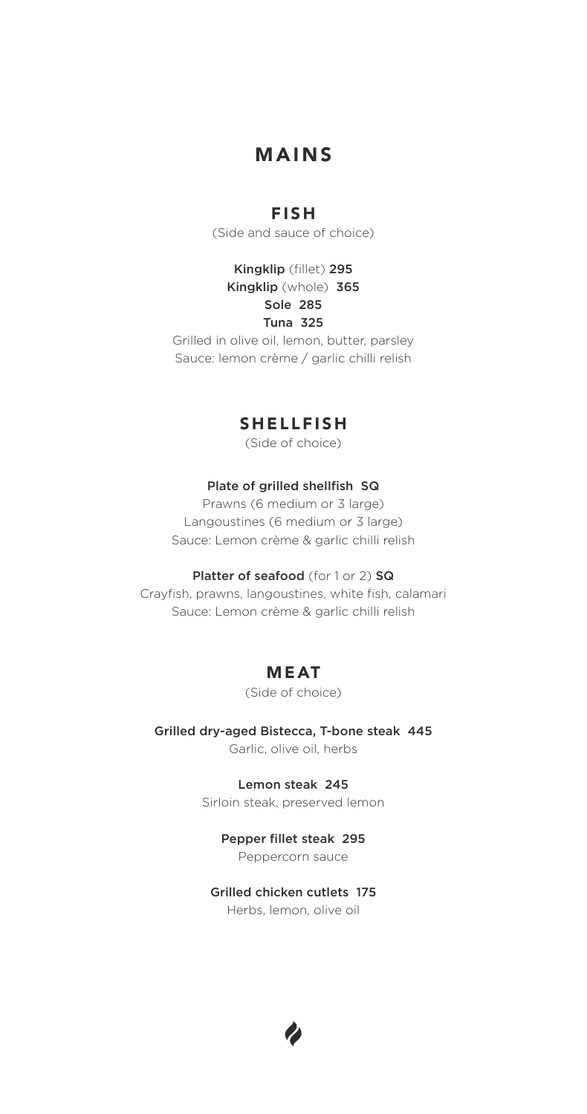# MAINS

# FISH

(Side and sauce of choice)

Kingklip (fillet) 295 Kingklip (whole) 365 Sole 285 Tuna 325

Grilled in olive oil, lemon, butter, parsley Sauce: lemon crème / garlic chilli relish

# SHELLFISH

(Side of choice)

## Plate of grilled shellfish SQ

Prawns (6 medium or 3 large) Langoustines (6 medium or 3 large) Sauce: Lemon crème & garlic chilli relish

### Platter of seafood (for 1 or 2) SQ

Crayfish, prawns, langoustines, white fish, calamari Sauce: Lemon crème & garlic chilli relish

# MEAT

### (Side of choice)

Grilled dry-aged Bistecca, T-bone steak 445 Garlic, olive oil, herbs

> Lemon steak 245 Sirloin steak, preserved lemon

> > Pepper fillet steak 295 Peppercorn sauce

# Grilled chicken cutlets 175

Herbs, lemon, olive oil